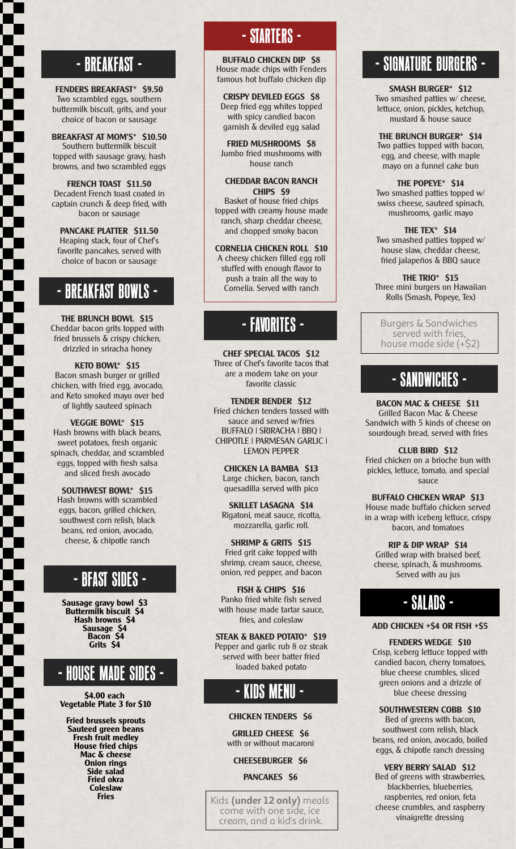**FENDERS BREAKFAST\* \$9.50** Two scrambled eggs, southern buttermilk biscuit, grits, and your choice of bacon or sausage

**BREAKFAST AT MOM'S\* \$10.50** Southern buttermilk biscuit topped with sausage gravy, hash browns, and two scrambled eggs

**FRENCH TOAST \$11.50** Decadent French toast coated in captain crunch & deep fried, with bacon or sausage

**PANCAKE PLATTER \$11.50** Heaping stack, four of Chef's favorite pancakes, served with choice of bacon or sausage

#### - BREAKFAST BOWLS -

**THE BRUNCH BOWL \$15** Cheddar bacon grits topped with fried brussels & crispy chicken, drizzled in sriracha honey

**KETO BOWL\* \$15** Bacon smash burger or grilled chicken, with fried egg, avocado, and Keto smoked mayo over bed of lightly sauteed spinach

**VEGGIE BOWL\* \$15** Hash browns with black beans, sweet potatoes, fresh organic spinach, cheddar, and scrambled eggs, topped with fresh salsa and sliced fresh avocado

**SOUTHWEST BOWL\* \$15** Hash browns with scrambled eggs, bacon, grilled chicken, southwest corn relish, black beans, red onion, avocado, cheese, & chipotle ranch

#### - BFAST SIDES -

**Sausage gravy bowl \$3 Buttermilk biscuit \$4 Hash browns \$4 Sausage \$4 Bacon \$4 Grits \$4**

#### - HOUSE MADE SIDES -

**\$4.00 each Vegetable Plate 3 for \$10**

**Fried brussels sprouts Sauteed green beans Fresh fruit medley House fried chips Mac & cheese Onion rings Side salad Fried okra Coleslaw Fries**

### - STARTERS -

**BUFFALO CHICKEN DIP \$8** House made chips with Fenders famous hot buffalo chicken dip - BREAKFAST - REAL PROPERTY SUPERFALO CHICKEN DIP S8 SERVICE SUPPOSE SUPPOSE SUPPOSE SUPPOSE SUPPOSE SUPPOSE SUPPOSE SUPPOSE SUPPOSE SUPPOSE SUPPOSE SUPPOSE SUPPOSE SUPPOSE SUPPOSE SUPPOSE SUPPOSE SUPPOSE SUPPOSE SUPPOSE S

> **CRISPY DEVILED EGGS \$8** Deep fried egg whites topped with spicy candied bacon garnish & deviled egg salad

**FRIED MUSHROOMS \$8** Jumbo fried mushrooms with house ranch

#### **CHEDDAR BACON RANCH CHIPS \$9**

Basket of house fried chips topped with creamy house made ranch, sharp cheddar cheese, and chopped smoky bacon

**CORNELIA CHICKEN ROLL \$10** A cheesy chicken filled egg roll stuffed with enough flavor to push a train all the way to Cornelia. Served with ranch

## - FAVORITES -

**CHEF SPECIAL TACOS \$12** Three of Chef's favorite tacos that are a modern take on your favorite classic

**TENDER BENDER \$12** Fried chicken tenders tossed with sauce and served w/fries BUFFALO | SRIRACHA | BBQ | CHIPOTLE | PARMESAN GARLIC | LEMON PEPPER

**CHICKEN LA BAMBA \$13** Large chicken, bacon, ranch quesadilla served with pico

**SKILLET LASAGNA \$14** Rigatoni, meat sauce, ricotta, mozzarella, garlic roll.

**SHRIMP & GRITS \$15** Fried grit cake topped with shrimp, cream sauce, cheese, onion, red pepper, and bacon

**FISH & CHIPS \$16** Panko fried white fish served with house made tartar sauce, fries, and coleslaw

**STEAK & BAKED POTATO\* \$19** Pepper and garlic rub 8 oz steak served with beer batter fried loaded baked potato

# - KIDS MENU -

**CHICKEN TENDERS \$6**

**GRILLED CHEESE \$6** with or without macaroni

**CHEESEBURGER \$6**

#### **PANCAKES \$6**

Kids **(under 12 only)** meals come with one side, ice cream, and a kid's drink.

**SMASH BURGER\* \$12** Two smashed patties w/ cheese, lettuce, onion, pickles, ketchup, mustard & house sauce

**THE BRUNCH BURGER\* \$14** Two patties topped with bacon, egg, and cheese, with maple mayo on a funnel cake bun

**THE POPEYE\* \$14** Two smashed patties topped w/ swiss cheese, sauteed spinach, mushrooms, garlic mayo

#### **THE TEX\* \$14**

Two smashed patties topped w/ house slaw, cheddar cheese, fried jalapeños & BBQ sauce

**THE TRIO\* \$15** Three mini burgers on Hawaiian Rolls (Smash, Popeye, Tex)

Burgers & Sandwiches served with fries, house made side (+\$2)

### - SANDWICHES -

**BACON MAC & CHEESE \$11** Grilled Bacon Mac & Cheese Sandwich with 5 kinds of cheese on sourdough bread, served with fries

**CLUB BIRD \$12** Fried chicken on a brioche bun with pickles, lettuce, tomato, and special sauce

**BUFFALO CHICKEN WRAP \$13** House made buffalo chicken served in a wrap with iceberg lettuce, crispy bacon, and tomatoes

**RIP & DIP WRAP \$14** Grilled wrap with braised beef, cheese, spinach, & mushrooms. Served with au jus

#### - SALADS -

#### **ADD CHICKEN +\$4 OR FISH +\$5**

**FENDERS WEDGE \$10** Crisp, iceberg lettuce topped with candied bacon, cherry tomatoes, blue cheese crumbles, sliced green onions and a drizzle of blue cheese dressing

**SOUTHWESTERN COBB \$10**

Bed of greens with bacon, southwest corn relish, black beans, red onion, avocado, boiled eggs, & chipotle ranch dressing

**VERY BERRY SALAD \$12** Bed of greens with strawberries, blackberries, blueberries, raspberries, red onion, feta cheese crumbles, and raspberry vinaigrette dressing